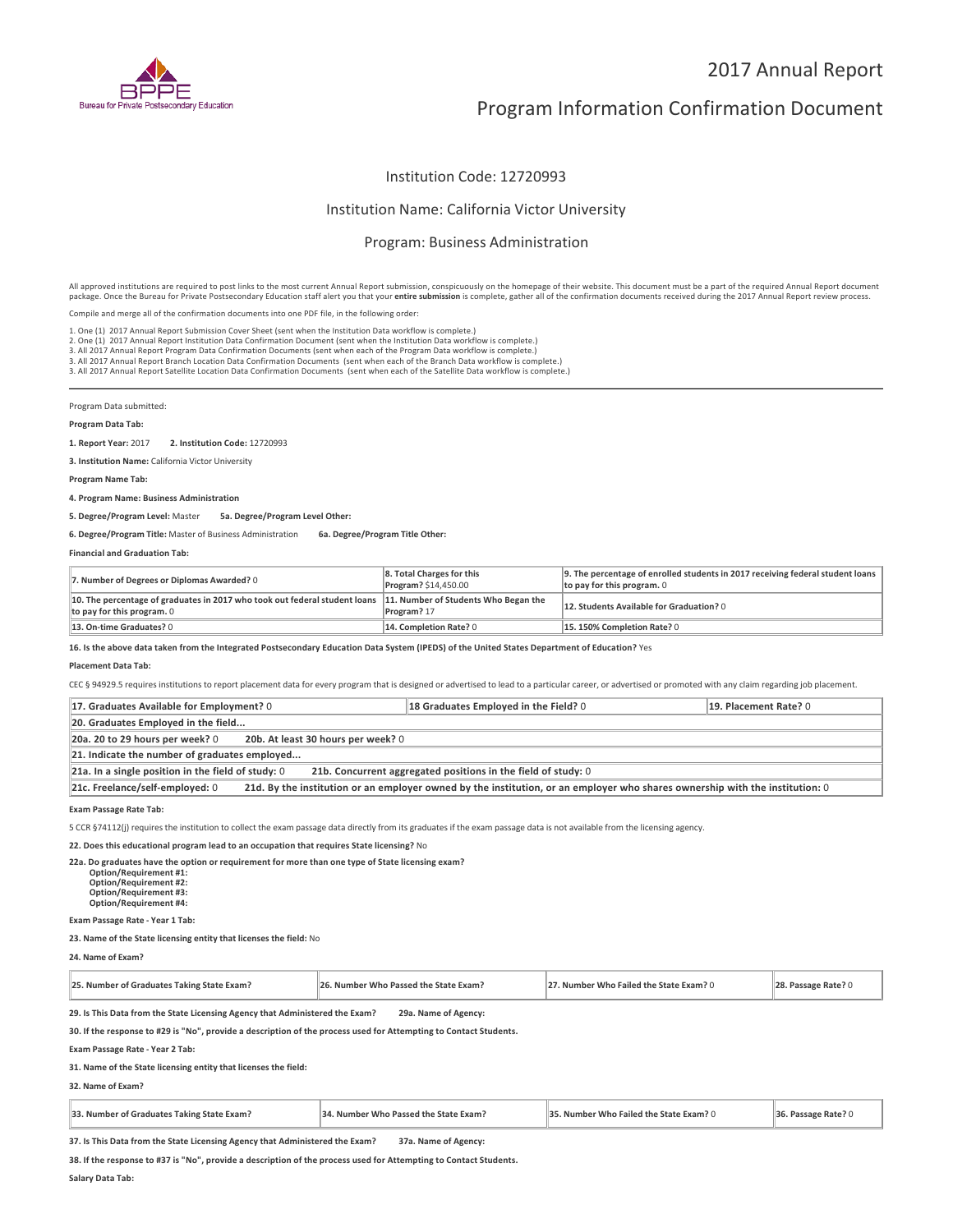

# 2017 Annual Report

# Program Information Confirmation Document

## Institution Code: 12720993

## Institution Name: California Victor University

## Program: Business Administration

All approved institutions are required to post links to the most current Annual Report submission, conspicuously on the homepage of their website. This document must be a part of the required Annual Report document package. Once the Bureau for Private Postsecondary Education staff alert you that your **entire submission** is complete, gather all of the confirmation documents received during the 2017 Annual Report review process.

Compile and merge all of the confirmation documents into one PDF file, in the following order:

1. One (1) 2017 Annual Report Submission Cover Sheet (sent when the Institution Data workflow is complete.)

2. One (1) 2017 Annual Report Institution Data Confirmation Document (sent when the Institution Data workflow is complete.)

2. One (1) 2017 Annual Report Institution Data Confirmation Document (sent when the Institution Data workflow is complete.)<br>3. All 2017 Annual Report Program Data Confirmation Documents (sent when each of the Program Data

Program Data submitted:

### **Program Data Tab:**

**1. Report Year:** 2017 **2. Institution Code:** <sup>12720993</sup>

**3. Institution Name:** California Victor University

**Program Name Tab:**

#### **4. Program Name: Business Administration**

**5. Degree/Program Level:** Master **5a. Degree/Program Level Other:**

**6. Degree/Program Title:** Master of Business Administration **6a. Degree/Program Title Other:**

### **Financial and Graduation Tab:**

| 7. Number of Degrees or Diplomas Awarded? 0                                                                                                   | 8. Total Charges for this<br>Program? \$14,450.00 | 9. The percentage of enrolled students in 2017 receiving federal student loans<br>to pay for this program. 0 |
|-----------------------------------------------------------------------------------------------------------------------------------------------|---------------------------------------------------|--------------------------------------------------------------------------------------------------------------|
| 10. The percentage of graduates in 2017 who took out federal student loans 11. Number of Students Who Began the<br>to pay for this program. 0 | Program? 17                                       | 12. Students Available for Graduation? 0                                                                     |
| 13. On-time Graduates? 0                                                                                                                      | 14. Completion Rate? 0                            | 15.150% Completion Rate? 0                                                                                   |

**16. Is the above data taken from the Integrated Postsecondary Education Data System (IPEDS) of the United States Department of Education?** Yes

#### **Placement Data Tab:**

CEC § 94929.5 requires institutions to report placement data for every program that is designed or advertised to lead to a particular career, or advertised or promoted with any claim regarding job placement.

| 17. Graduates Available for Employment? 0                                                                                                                       | 18 Graduates Employed in the Field? 0 | 19. Placement Rate? 0 |  |
|-----------------------------------------------------------------------------------------------------------------------------------------------------------------|---------------------------------------|-----------------------|--|
| 20. Graduates Employed in the field                                                                                                                             |                                       |                       |  |
| 20b. At least 30 hours per week? 0<br>20a. 20 to 29 hours per week? 0                                                                                           |                                       |                       |  |
| 21. Indicate the number of graduates employed                                                                                                                   |                                       |                       |  |
| 21a. In a single position in the field of study: $0$<br>21b. Concurrent aggregated positions in the field of study: 0                                           |                                       |                       |  |
| 21c. Freelance/self-employed: 0<br>21d. By the institution or an employer owned by the institution, or an employer who shares ownership with the institution: 0 |                                       |                       |  |

#### **Exam Passage Rate Tab:**

5 CCR §74112(j) requires the institution to collect the exam passage data directly from its graduates if the exam passage data is not available from the licensing agency.

**22. Does this educational program lead to an occupation that requires State licensing?** No

**22a. Do graduates have the option or requirement for more than one type of State licensing exam? Option/Requirement #1: Option/Requirement #2:**

 **Option/Requirement #3: Option/Requirement #4:**

**Exam Passage Rate - Year 1 Tab:**

**23. Name of the State licensing entity that licenses the field:** No

**24. Name of Exam?**

| 25. Number of Graduates Taking State Exam? | 5. Number Who Passed the State Exam? | 7. Number Who Failed the State Exam? () |  |
|--------------------------------------------|--------------------------------------|-----------------------------------------|--|
|--------------------------------------------|--------------------------------------|-----------------------------------------|--|

**29. Is This Data from the State Licensing Agency that Administered the Exam? 29a. Name of Agency:**

**30. If the response to #29 is "No", provide a description of the process used for Attempting to Contact Students.**

**Exam Passage Rate - Year 2 Tab:**

**31. Name of the State licensing entity that licenses the field:**

### **32. Name of Exam?**

| 33. Number of Graduates Taking State Exam? | 34. Number Who Passed the State Exam? | 35. Number Who Failed the State Exam? 0 | 36. Passage Rate? 0 |
|--------------------------------------------|---------------------------------------|-----------------------------------------|---------------------|
|--------------------------------------------|---------------------------------------|-----------------------------------------|---------------------|

**37. Is This Data from the State Licensing Agency that Administered the Exam? 37a. Name of Agency:**

**38. If the response to #37 is "No", provide a description of the process used for Attempting to Contact Students.**

**Salary Data Tab:**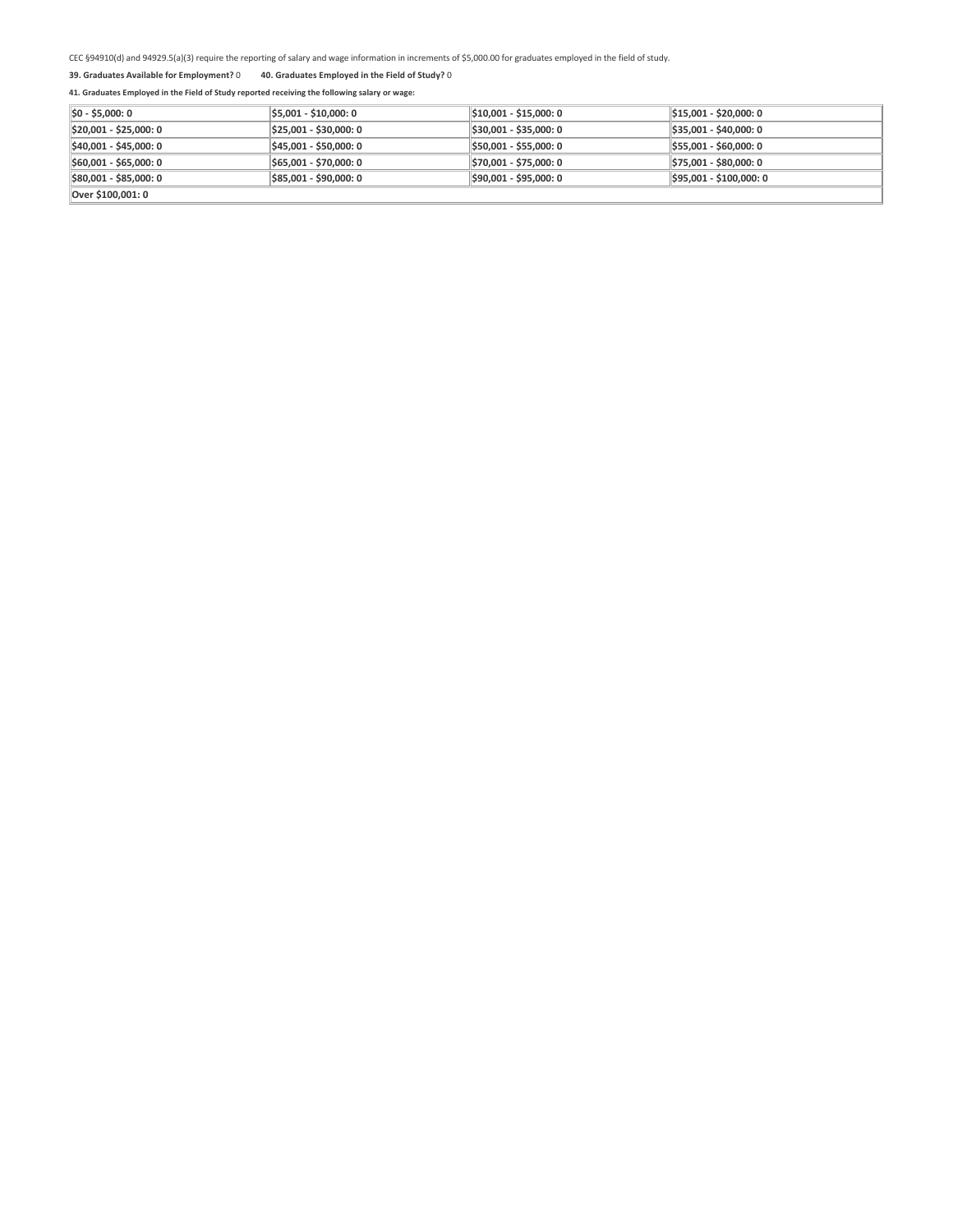CEC §94910(d) and 94929.5(a)(3) require the reporting of salary and wage information in increments of \$5,000.00 for graduates employed in the field of study.

## **39. Graduates Available for Employment?** 0 **40. Graduates Employed in the Field of Study?** <sup>0</sup>

# **41. Graduates Employed in the Field of Study reported receiving the following salary or wage:**

| $ 50 - 55,000:0 $      | \$5,001 - \$10,000: 0  | \$10,001 - \$15,000: 0 | $ \$15,001 - \$20,000:0$ |
|------------------------|------------------------|------------------------|--------------------------|
| \$20,001 - \$25,000: 0 | \$25,001 - \$30,000: 0 | \$30,001 - \$35,000: 0 | $ \$35,001 - $40,000:0$  |
| \$40,001 - \$45,000: 0 | \$45,001 - \$50,000: 0 | \$50,001 - \$55,000: 0 | $$55,001 - $60,000:0$    |
| \$60,001 - \$65,000: 0 | \$65,001 - \$70,000: 0 | \$70,001 - \$75,000: 0 | $$75,001 - $80,000:0$    |
| \$80,001 - \$85,000: 0 | \$85,001 - \$90,000: 0 | \$90,001 - \$95,000: 0 | \$95,001 - \$100,000: 0  |
| Over \$100.001: 0      |                        |                        |                          |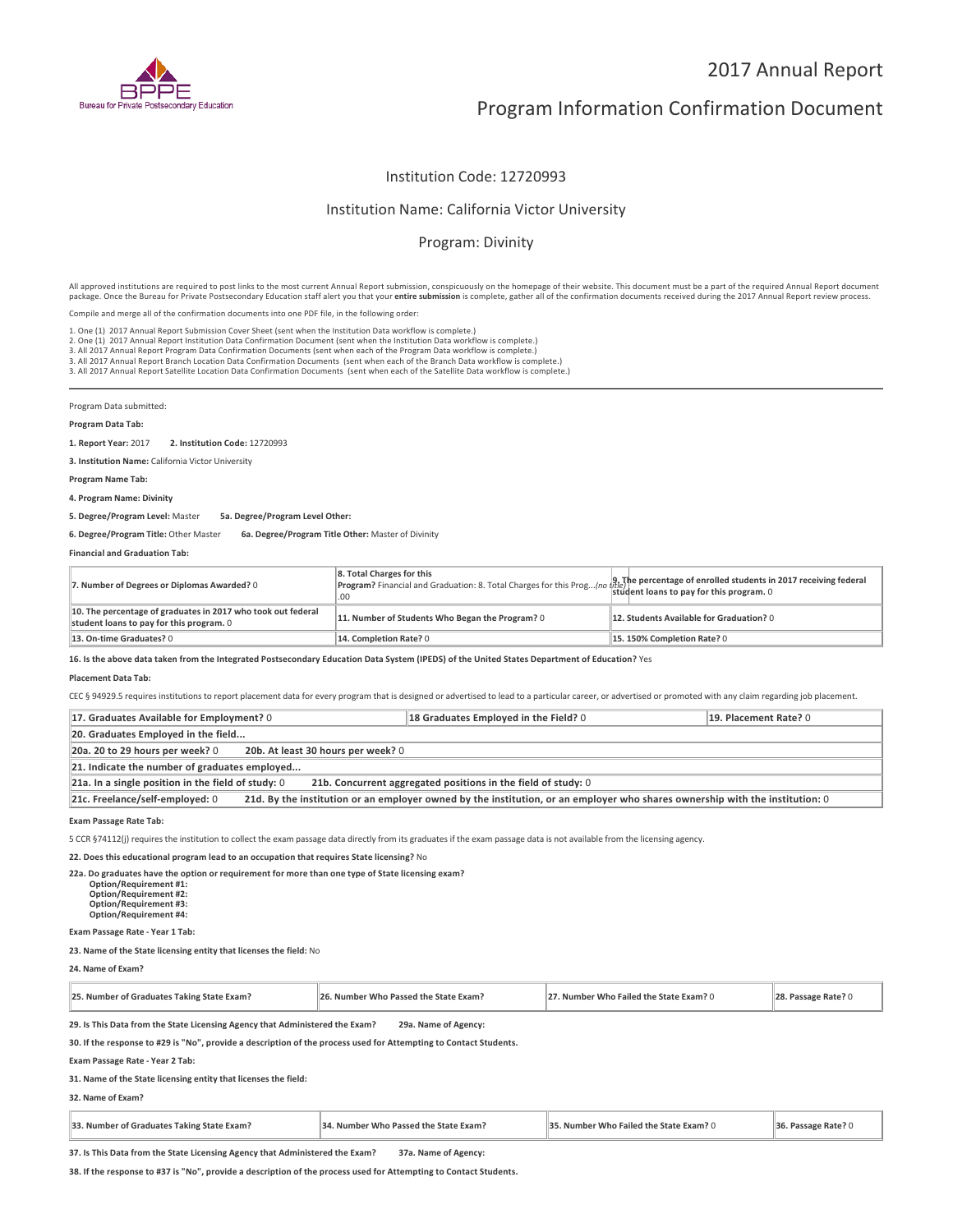

# 2017 Annual Report

# Program Information Confirmation Document

# Institution Code: 12720993

## Institution Name: California Victor University

# Program: Divinity

All approved institutions are required to post links to the most current Annual Report submission, conspicuously on the homepage of their website. This document must be a part of the required Annual Report document package. Once the Bureau for Private Postsecondary Education staff alert you that your **entire submission** is complete, gather all of the confirmation documents received during the 2017 Annual Report review process.

Compile and merge all of the confirmation documents into one PDF file, in the following order:

1. One (1) 2017 Annual Report Submission Cover Sheet (sent when the Institution Data workflow is complete.)

1. One (1) 2017 Annual Report Submission Cover Sheet (sent when the Institution Data workflow is complete.)<br>2. One (1) 2017 Annual Report Institution Data Confirmation Document (sent when the Institution Data workflow is c

Program Data submitted:

## **Program Data Tab:**

**1. Report Year:** 2017 **2. Institution Code:** <sup>12720993</sup>

**3. Institution Name:** California Victor University

**Program Name Tab:**

## **4. Program Name: Divinity**

**5. Degree/Program Level:** Master **5a. Degree/Program Level Other:**

**6. Degree/Program Title:** Other Master **6a. Degree/Program Title Other:** Master of Divinity

### **Financial and Graduation Tab:**

| 7. Number of Degrees or Diplomas Awarded? 0                                                              | 8. Total Charges for this<br>or rotal charges for this program? Financial and Graduation: 8. Total Charges for this Prog (no trite)<br>Program? Financial and Graduation: 8. Total Charges for this Prog (no trit of the program of this program. 0<br>.00 |                                          |
|----------------------------------------------------------------------------------------------------------|------------------------------------------------------------------------------------------------------------------------------------------------------------------------------------------------------------------------------------------------------------|------------------------------------------|
| 10. The percentage of graduates in 2017 who took out federal<br>student loans to pay for this program. 0 | 11. Number of Students Who Began the Program? 0                                                                                                                                                                                                            | 12. Students Available for Graduation? 0 |
| 13. On-time Graduates? 0                                                                                 | 14. Completion Rate? 0                                                                                                                                                                                                                                     | 15.150% Completion Rate? 0               |

**16. Is the above data taken from the Integrated Postsecondary Education Data System (IPEDS) of the United States Department of Education?** Yes

### **Placement Data Tab:**

CEC § 94929.5 requires institutions to report placement data for every program that is designed or advertised to lead to a particular career, or advertised or promoted with any claim regarding job placement.

| 17. Graduates Available for Employment? 0                                                                                                                       | 18 Graduates Employed in the Field? 0 | 19. Placement Rate? 0 |
|-----------------------------------------------------------------------------------------------------------------------------------------------------------------|---------------------------------------|-----------------------|
| 20. Graduates Employed in the field                                                                                                                             |                                       |                       |
| 20b. At least 30 hours per week? 0<br>20a. 20 to 29 hours per week? 0                                                                                           |                                       |                       |
| 21. Indicate the number of graduates employed                                                                                                                   |                                       |                       |
| $21a$ . In a single position in the field of study: 0<br>21b. Concurrent aggregated positions in the field of study: 0                                          |                                       |                       |
| 21d. By the institution or an employer owned by the institution, or an employer who shares ownership with the institution: 0<br>21c. Freelance/self-employed: 0 |                                       |                       |

**Exam Passage Rate Tab:**

5 CCR §74112(j) requires the institution to collect the exam passage data directly from its graduates if the exam passage data is not available from the licensing agency.

**22. Does this educational program lead to an occupation that requires State licensing?** No

**22a. Do graduates have the option or requirement for more than one type of State licensing exam? Option/Requirement #1:**

 **Option/Requirement #2: Option/Requirement #3: Option/Requirement #4:**

## **Exam Passage Rate - Year 1 Tab:**

**23. Name of the State licensing entity that licenses the field:** No

**24. Name of Exam?**

| <b>DE</b><br>s Taking State Exam?<br>$\cdot$ graduates $\tau$<br>Number of | . Number Who Passed the State Ex<br>: Exam? | umher Who<br><b>Failed the State</b><br>Exam? | кате |
|----------------------------------------------------------------------------|---------------------------------------------|-----------------------------------------------|------|
|----------------------------------------------------------------------------|---------------------------------------------|-----------------------------------------------|------|

**29. Is This Data from the State Licensing Agency that Administered the Exam? 29a. Name of Agency:**

**30. If the response to #29 is "No", provide a description of the process used for Attempting to Contact Students.**

**Exam Passage Rate - Year 2 Tab:**

**31. Name of the State licensing entity that licenses the field:**

**32. Name of Exam?**

| . Number of Graduates Taking State Exam? | . Number Who Passed the State Exam? | $\sim$ $\sim$<br>r Who Failed the State Exam? (<br>. Number | e Rate <sup>2</sup> |  |
|------------------------------------------|-------------------------------------|-------------------------------------------------------------|---------------------|--|
|------------------------------------------|-------------------------------------|-------------------------------------------------------------|---------------------|--|

**37. Is This Data from the State Licensing Agency that Administered the Exam? 37a. Name of Agency:**

**38. If the response to #37 is "No", provide a description of the process used for Attempting to Contact Students.**